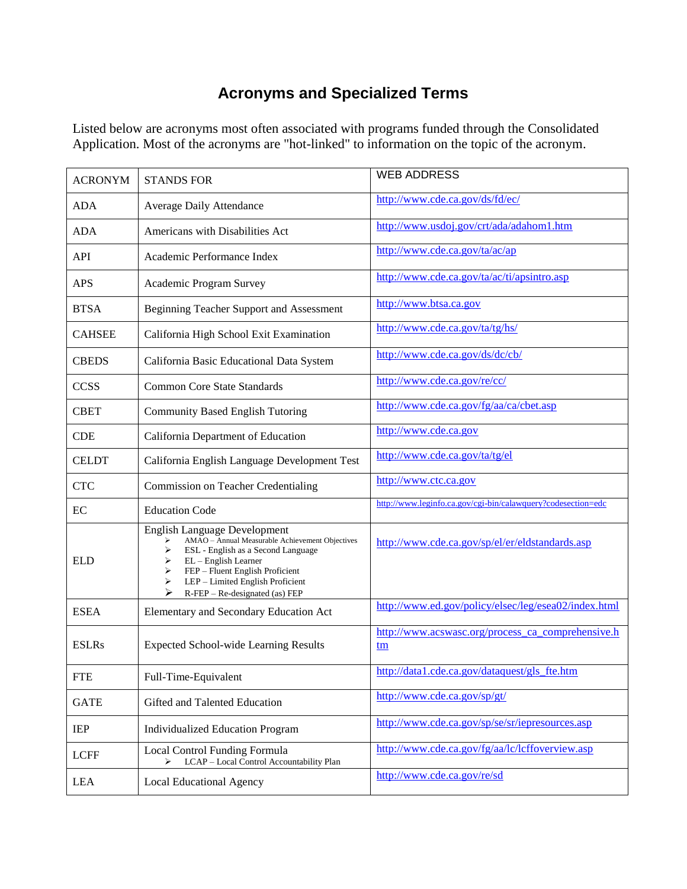## **Acronyms and Specialized Terms**

Listed below are acronyms most often associated with programs funded through the Consolidated Application. Most of the acronyms are "hot-linked" to information on the topic of the acronym.

| <b>ACRONYM</b> | <b>STANDS FOR</b>                                                                                                                                                                                                                                                          | <b>WEB ADDRESS</b>                                           |
|----------------|----------------------------------------------------------------------------------------------------------------------------------------------------------------------------------------------------------------------------------------------------------------------------|--------------------------------------------------------------|
| <b>ADA</b>     | <b>Average Daily Attendance</b>                                                                                                                                                                                                                                            | http://www.cde.ca.gov/ds/fd/ec/                              |
| <b>ADA</b>     | Americans with Disabilities Act                                                                                                                                                                                                                                            | http://www.usdoj.gov/crt/ada/adahom1.htm                     |
| API            | Academic Performance Index                                                                                                                                                                                                                                                 | http://www.cde.ca.gov/ta/ac/ap                               |
| <b>APS</b>     | Academic Program Survey                                                                                                                                                                                                                                                    | http://www.cde.ca.gov/ta/ac/ti/apsintro.asp                  |
| <b>BTSA</b>    | Beginning Teacher Support and Assessment                                                                                                                                                                                                                                   | http://www.btsa.ca.gov                                       |
| <b>CAHSEE</b>  | California High School Exit Examination                                                                                                                                                                                                                                    | http://www.cde.ca.gov/ta/tg/hs/                              |
| <b>CBEDS</b>   | California Basic Educational Data System                                                                                                                                                                                                                                   | http://www.cde.ca.gov/ds/dc/cb/                              |
| <b>CCSS</b>    | <b>Common Core State Standards</b>                                                                                                                                                                                                                                         | http://www.cde.ca.gov/re/cc/                                 |
| <b>CBET</b>    | <b>Community Based English Tutoring</b>                                                                                                                                                                                                                                    | http://www.cde.ca.gov/fg/aa/ca/cbet.asp                      |
| <b>CDE</b>     | California Department of Education                                                                                                                                                                                                                                         | http://www.cde.ca.gov                                        |
| <b>CELDT</b>   | California English Language Development Test                                                                                                                                                                                                                               | http://www.cde.ca.gov/ta/tg/el                               |
| <b>CTC</b>     | <b>Commission on Teacher Credentialing</b>                                                                                                                                                                                                                                 | http://www.ctc.ca.gov                                        |
| EC             | <b>Education Code</b>                                                                                                                                                                                                                                                      | http://www.leginfo.ca.gov/cgi-bin/calawquery?codesection=edc |
| <b>ELD</b>     | English Language Development<br>AMAO - Annual Measurable Achievement Objectives<br>ESL - English as a Second Language<br>➤<br>EL - English Learner<br>➤<br>FEP - Fluent English Proficient<br>➤<br>LEP - Limited English Proficient<br>⋗<br>R-FEP - Re-designated (as) FEP | http://www.cde.ca.gov/sp/el/er/eldstandards.asp              |
| <b>ESEA</b>    | Elementary and Secondary Education Act                                                                                                                                                                                                                                     | http://www.ed.gov/policy/elsec/leg/esea02/index.html         |
| <b>ESLRs</b>   | <b>Expected School-wide Learning Results</b>                                                                                                                                                                                                                               | http://www.acswasc.org/process_ca_comprehensive.h<br>tm      |
| <b>FTE</b>     | Full-Time-Equivalent                                                                                                                                                                                                                                                       | http://data1.cde.ca.gov/dataquest/gls_fte.htm                |
| <b>GATE</b>    | Gifted and Talented Education                                                                                                                                                                                                                                              | http://www.cde.ca.gov/sp/gt/                                 |
| IEP            | <b>Individualized Education Program</b>                                                                                                                                                                                                                                    | http://www.cde.ca.gov/sp/se/sr/iepresources.asp              |
| <b>LCFF</b>    | Local Control Funding Formula<br>LCAP - Local Control Accountability Plan<br>➤                                                                                                                                                                                             | http://www.cde.ca.gov/fg/aa/lc/lcffoverview.asp              |
| <b>LEA</b>     | <b>Local Educational Agency</b>                                                                                                                                                                                                                                            | http://www.cde.ca.gov/re/sd                                  |